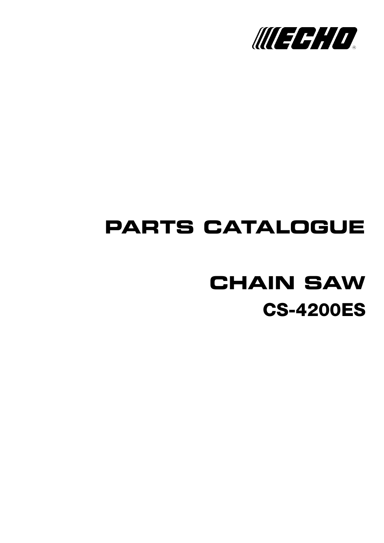

## **PARTS CATALOGUE**

# **CS-4200ES CHAIN SAW**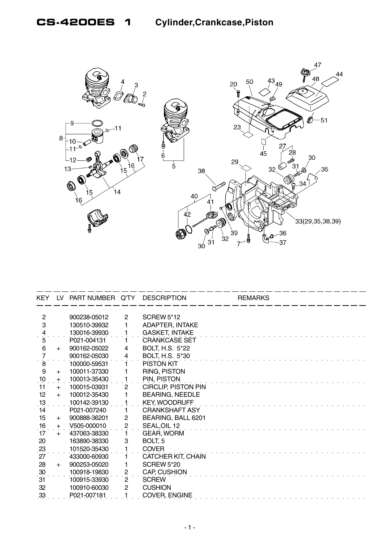

| KEY LV                                  |     | PART NUMBER Q'TY |                         | <b>DESCRIPTION</b>         | <b>REMARKS</b> |  |
|-----------------------------------------|-----|------------------|-------------------------|----------------------------|----------------|--|
| $\overline{2}$                          |     | 900238-05012     | $\overline{2}$          | <b>SCREW 5*12</b>          |                |  |
| 3                                       |     | 130510-39932     | 1                       | <b>ADAPTER, INTAKE</b>     |                |  |
|                                         |     | 130016-39930     |                         | <b>GASKET, INTAKE</b>      |                |  |
| $\frac{4}{5}$                           |     | P021-004131      |                         | <b>CRANKCASE SET</b>       |                |  |
| $\,6\,$                                 | $+$ | 900162-05022     | 4                       | BOLT, H.S. 5*22            |                |  |
| $\overline{7}$                          |     | 900162-05030     | 4                       | <b>BOLT, H.S. 5*30</b>     |                |  |
| $\dot{8}$                               |     | 100000-59531     | 1.                      | PISTON KIT                 |                |  |
| 9                                       | $+$ | 100011-37330     | 1                       | RING, PISTON               |                |  |
| $\frac{10}{1}$                          | $+$ | 100013-35430     |                         | PIN, PISTON                |                |  |
| 11                                      | $+$ | 100015-03931     | $\mathbf{2}$            | <b>CIRCLIP, PISTON PIN</b> |                |  |
| 12 <sub>2</sub>                         | $+$ | 100012-35430     |                         | <b>BEARING, NEEDLE</b>     |                |  |
| $\frac{13}{1}$                          |     | 100142-39130     |                         | <b>KEY, WOODRUFF</b>       |                |  |
| 14                                      |     | P021-007240      | 1.                      | <b>CRANKSHAFT ASY</b>      |                |  |
| 15 <sub>15</sub>                        | $+$ | 900888-36201     | 2                       | BEARING, BALL 6201         |                |  |
|                                         | $+$ | V505-000010      | 2                       | SEAL, OIL 12               |                |  |
| $\begin{array}{c} 16 \\ 17 \end{array}$ | $+$ | 437063-38330     |                         | <b>GEAR, WORM</b>          |                |  |
| 20                                      |     | 163890-38330     | 3                       | BOLT, 5                    |                |  |
| $^{23}$                                 |     | 101520-35430     |                         | <b>COVER</b>               |                |  |
| 27                                      |     | 433000-60930     | 1                       | <b>CATCHER KIT, CHAIN</b>  |                |  |
| 28                                      | $+$ | 900253-05020     | 1                       | <b>SCREW 5*20</b>          |                |  |
| 30                                      |     | 100918-19830     | $\overline{\mathbf{c}}$ | CAP, CUSHION               |                |  |
| 31                                      |     | 100915-33930     | $\mathbf{2}^{\prime}$   | <b>SCREW</b>               |                |  |
| 32                                      |     | 100910-60030     | $\mathbf{2}$            | <b>CUSHION</b>             |                |  |
| 33                                      |     | P021-007181      |                         | <b>COVER, ENGINE</b>       |                |  |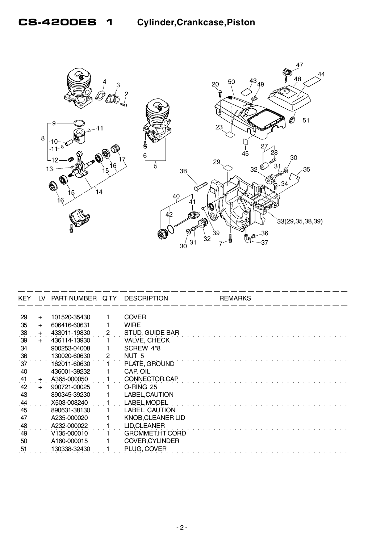

| KEY. | 1V  | PART NUMBER Q'TY |                | <b>DESCRIPTION</b>       | <b>REMARKS</b> |
|------|-----|------------------|----------------|--------------------------|----------------|
|      |     |                  |                |                          |                |
| 29   | $+$ | 101520-35430     |                | <b>COVER</b>             |                |
| 35   | $+$ | 606416-60631     |                | <b>WIRE</b>              |                |
| 38   | $+$ | 433011-19830     |                | STUD, GUIDE BAR          |                |
| 39   | $+$ | 436114-13930     |                | <b>VALVE, CHECK</b>      |                |
| 34   |     | 900253-04008     |                | SCREW 4*8                |                |
| 36   |     | 130020-60630     | $\overline{2}$ | NUT <sub>5</sub>         |                |
| 37   |     | 162011-60630     |                | PLATE, GROUND            |                |
| 40   |     | 436001-39232     |                | CAP, OIL                 |                |
| .41  | $+$ | A365-000050      |                | CONNECTOR, CAP           |                |
| 42   | $+$ | 900721-00025     |                | O-RING 25                |                |
| 43   |     | 890345-39230     |                | LABEL, CAUTION           |                |
| 44   |     | X503-008240      |                | LABEL, MODEL             |                |
| 45   |     | 890631-38130     |                | LABEL, CAUTION           |                |
| 47   |     | A235-000020      |                | <b>KNOB, CLEANER LID</b> |                |
| 48   |     | A232-000022      |                | LID, CLEANER             |                |
| 49   |     | V135-000010      |                | GROMMET, HT CORD         |                |
| 50   |     | A160-000015      |                | <b>COVER, CYLINDER</b>   |                |
| 51   |     | 130338-32430     |                | PLUG, COVER              |                |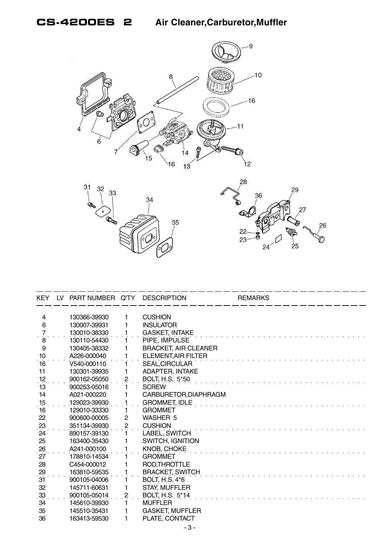





| KEY.            | LV. | PART NUMBER Q'TY |                | <b>DESCRIPTION</b>          | <b>REMARKS</b> |
|-----------------|-----|------------------|----------------|-----------------------------|----------------|
|                 |     |                  |                |                             |                |
| 4<br>6          |     | 130366-39930     | 1<br>1         | <b>CUSHION</b>              |                |
|                 |     | 130007-39931     |                | <b>INSULATOR</b>            |                |
|                 |     | 130010-38330     |                | <b>GASKET, INTAKE</b>       |                |
| 8               |     | 130110-54430     |                | PIPE, IMPULSE               |                |
| 9               |     | 130405-38332     |                | <b>BRACKET, AIR CLEANER</b> |                |
| 10              |     | A226-000040      |                | <b>ELEMENT, AIR FILTER</b>  |                |
| 16              |     | V540-000110      |                | SEAL, CIRCULAR              |                |
| 11              |     | 130301-39935     |                | <b>ADAPTER, INTAKE</b>      |                |
| 12              |     | 900162-05050     | 2              | BOLT, H.S. 5*50             |                |
| 13              |     | 900253-05016     |                | <b>SCREW</b>                |                |
| 14              |     | A021-000220      |                | CARBURETOR, DIAPHRAGM       |                |
| 15              |     | 129023-39930     |                | <b>GROMMET, IDLE</b>        |                |
| 16              |     | 129010-33330     | 1.             | <b>GROMMET</b>              |                |
| 22              |     | 900600-00005     | $\overline{c}$ | <b>WASHER 5</b>             |                |
| 23              |     | 351134-39930     | $\overline{c}$ | <b>CUSHION</b>              |                |
| $\overline{24}$ |     | 890157-39130     |                | LABEL, SWITCH               |                |
| 25              |     | 163400-35430     |                | <b>SWITCH, IGNITION</b>     |                |
| 26              |     | A241-000100      |                | <b>KNOB, CHOKE</b>          |                |
| 27              |     | 178810-14534     |                | <b>GROMMET</b>              |                |
| 28              |     | C454-000012      |                | ROD, THROTTLE               |                |
| $\frac{29}{12}$ |     | 163810-59535     |                | <b>BRACKET, SWITCH</b>      |                |
| 31              |     | 900105-04006     |                | <b>BOLT, H.S. 4*6</b>       |                |
| 32              |     | 145711-60631     |                | <b>STAY, MUFFLER</b>        |                |
| 33              |     | 900105-05014     | 2              | BOLT, H.S. 5*14             |                |
| 34              |     | 145610-39930     |                | <b>MUFFLER</b>              |                |
| 35              |     | 145510-35431     | 1              | <b>GASKET, MUFFLER</b>      |                |
| 36              |     | 163413-59530     | 1              | PLATE, CONTACT              |                |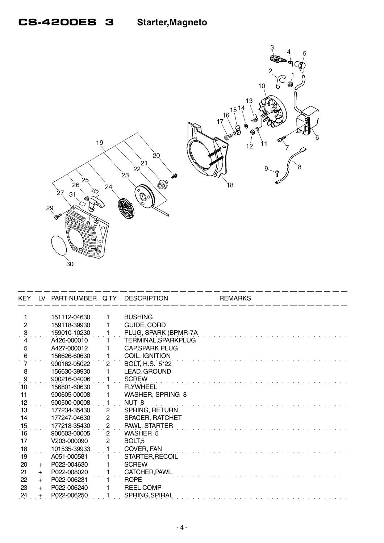## **CS-4200ES 3 Starter,Magneto**



| <b>KEY</b>          |     | LV PART NUMBER Q'TY DESCRIPTION |                         |                         | <b>REMARKS</b> |
|---------------------|-----|---------------------------------|-------------------------|-------------------------|----------------|
|                     |     | 151112-04630                    | 1                       | <b>BUSHING</b>          |                |
| $\overline{2}$      |     | 159118-39930                    |                         | GUIDE, CORD             |                |
| $\ddot{\mathrm{3}}$ |     | 159010-10230                    |                         | PLUG, SPARK (BPMR-7A    |                |
| 4                   |     | A426-000010                     |                         | TERMINAL, SPARKPLUG     |                |
| 5                   |     | A427-000012                     |                         | <b>CAP, SPARK PLUG</b>  |                |
| 6                   |     | 156626-60630                    |                         | COIL, IGNITION          |                |
|                     |     | 900162-05022                    | $\mathbf{2}^{\prime}$   | <b>BOLT, H.S. 5*22</b>  |                |
| 8                   |     | 156630-39930                    |                         | LEAD, GROUND            |                |
| $\ddot{\theta}$     |     | 900216-04006                    |                         | <b>SCREW</b>            |                |
| 10                  |     | 156801-60630                    |                         | <b>FLYWHEEL</b>         |                |
| 11                  |     | 900605-00008                    |                         | <b>WASHER, SPRING 8</b> |                |
| 12                  |     | 900500-00008                    |                         | NUT 8                   |                |
| 13                  |     | 177234-35430                    | $\mathbf{2}$            | <b>SPRING, RETURN</b>   |                |
| 14                  |     | 177247-04630                    | 2                       | SPACER, RATCHET         |                |
| 15                  |     | 177218-35430                    | $\overline{\mathbf{c}}$ | PAWL, STARTER           |                |
| 16                  |     | 900603-00005                    | $\mathbf{2}$            | WASHER 5                |                |
| 17                  |     | V203-000090                     | $\mathbf{2}$            | BOLT <sub>.5</sub>      |                |
| 18                  |     | 101535-39933                    | 1                       | COVER, FAN              |                |
| 19                  |     | A051-000581                     |                         | STARTER, RECOIL         |                |
| 20                  | $+$ | P022-004630                     |                         | <b>SCREW</b>            |                |
| 21                  | $+$ | P022-008020                     |                         | CATCHER, PAWL           |                |
| $\dot{22}$          | $+$ | P022-006231                     |                         | <b>ROPE</b>             |                |
| 23                  | $+$ | P022-006240                     |                         | <b>REEL COMP</b>        |                |
| 24                  |     | P022-006250                     |                         | SPRING, SPIRAL          |                |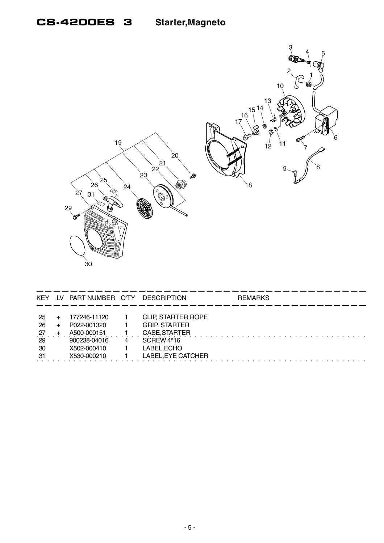#### **CS-4200ES 3 Starter, Magneto**



| <b>KEY</b>                              | LV. | PART NUMBER Q'TY                                                                         |   | <b>DESCRIPTION</b>                                                                                                           | <b>REMARKS</b> |
|-----------------------------------------|-----|------------------------------------------------------------------------------------------|---|------------------------------------------------------------------------------------------------------------------------------|----------------|
| -25<br>26<br>$^{27}$<br>29<br>30<br>-31 |     | 177246-11120<br>P022-001320<br>A500-000151<br>900238-04016<br>X502-000410<br>X530-000210 | 4 | <b>CLIP, STARTER ROPE</b><br><b>GRIP, STARTER</b><br>CASE, STARTER<br><b>SCREW 4*16</b><br>LABEL, ECHO<br>LABEL, EYE CATCHER |                |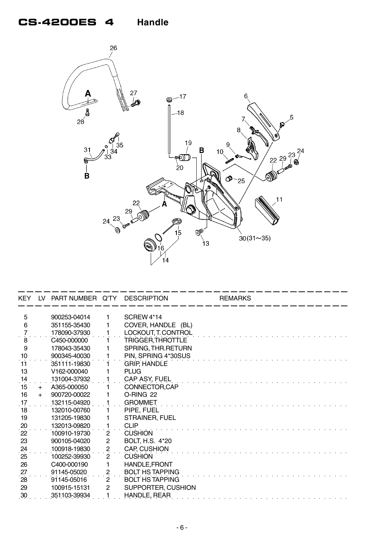

| KEY.            |     | LV PART NUMBER Q'TY DESCRIPTION |                |                        | <b>REMARKS</b> |
|-----------------|-----|---------------------------------|----------------|------------------------|----------------|
| 5               |     | 900253-04014                    | 1              | SCREW <sub>4</sub> *14 |                |
| 6               |     | 351155-35430                    |                | COVER, HANDLE (BL)     |                |
| 7               |     | 178090-37930                    |                | LOCKOUT, T. CONTROL    |                |
| 8               |     | C450-000000                     |                | TRIGGER, THROTTLE      |                |
| 9               |     | 178043-35430                    |                | SPRING, THR.RETURN     |                |
| 10              |     | 900345-40030                    |                | PIN, SPRING 4*30SUS    |                |
| 11              |     | 351111-19830                    |                | GRIP, HANDLE           |                |
| 13              |     | V162-000040                     |                | <b>PLUG</b>            |                |
| 14              |     | 131004-37932                    |                | CAP ASY, FUEL          |                |
| 15              | $+$ | A365-000050                     |                | CONNECTOR, CAP         |                |
| 16              | $+$ | 900720-00022                    |                | O-RING 22              |                |
| 17              |     | 132115-04920                    |                | <b>GROMMET</b>         |                |
| 18              |     | 132010-00760                    |                | PIPE, FUEL             |                |
| 19              |     | 131205-19830                    |                | <b>STRAINER, FUEL</b>  |                |
| $\frac{20}{22}$ |     | 132013-09820                    | 1              | <b>CLIP</b>            |                |
|                 |     | 100910-19730                    | $\overline{2}$ | <b>CUSHION</b>         |                |
| 23              |     | 900105-04020                    | $\overline{c}$ | <b>BOLT, H.S. 4*20</b> |                |
| $\frac{24}{25}$ |     | 100918-19830                    | $\sqrt{2}$     | <b>CAP, CUSHION</b>    |                |
|                 |     | 100252-39930                    | $\overline{2}$ | <b>CUSHION</b>         |                |
| 26              |     | C400-000190                     |                | HANDLE, FRONT          |                |
| 27              |     | 91145-05020                     | $\mathbf{2}$   | <b>BOLT HS TAPPING</b> |                |
| 28              |     | 91145-05016                     | $\overline{2}$ | <b>BOLT HS TAPPING</b> |                |
| 29              |     | 100915-15131                    | $\mathbf{2}$   | SUPPORTER, CUSHION     |                |
| $\overline{30}$ |     | 351103-39934                    |                | HANDLE, REAR           |                |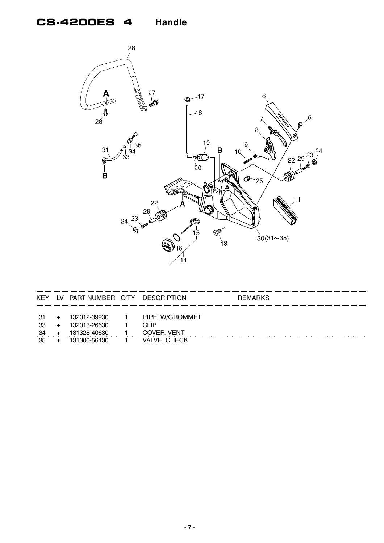



| KEY | LV PART NUMBER Q'TY | <b>DESCRIPTION</b> | <b>REMARKS</b> |
|-----|---------------------|--------------------|----------------|
|     |                     |                    |                |
| -31 | 132012-39930        | PIPE, W/GROMMET    |                |
| -33 | 132013-26630        | CLIP               |                |
| -34 | 131328-40630        | COVER, VENT        |                |
| -35 | 131300-56430        | VALVE, CHECK       |                |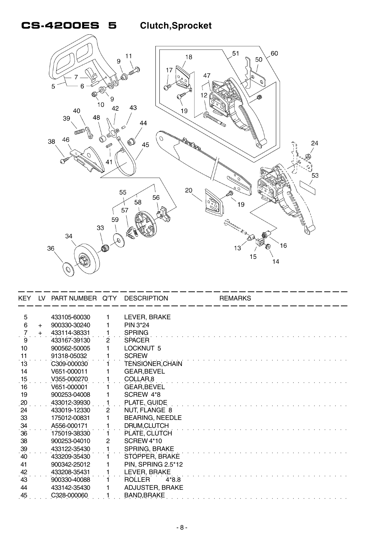#### **CS-4200ES 5 Clutch,Sprocket**



| KEY.            | LV  | PART NUMBER Q'TY |                | <b>DESCRIPTION</b>       | <b>REMARKS</b> |  |
|-----------------|-----|------------------|----------------|--------------------------|----------------|--|
| 5               |     | 433105-60030     | 1              | LEVER, BRAKE             |                |  |
| 6               | $+$ | 900330-30240     |                | PIN 3*24                 |                |  |
|                 |     | 433114-38331     |                | <b>SPRING</b>            |                |  |
| 9               |     | 433167-39130     | $\overline{c}$ | <b>SPACER</b>            |                |  |
| 10 <sup>1</sup> |     | 900562-50005     |                | LOCKNUT <sub>5</sub>     |                |  |
| 11              |     | 91318-05032      |                | <b>SCREW</b>             |                |  |
| 13              |     | C309-000030      |                | TÉNSIONER, CHAIN         |                |  |
| 14              |     | V651-000011      |                | <b>GEAR, BEVEL</b>       |                |  |
| 15              |     | V355-000270      |                | COLLAR <sub>.8</sub>     |                |  |
| 16              |     | V651-000001      |                | <b>GEAR, BEVEL</b>       |                |  |
| 19              |     | 900253-04008     |                | SCREW 4*8                |                |  |
| 20              |     | 433012-39930     |                | PLATE, GUIDE             |                |  |
| 24              |     | 433019-12330     | 2              | NUT, FLANGE 8            |                |  |
| 33              |     | 175012-00831     |                | <b>BEARING, NEEDLE</b>   |                |  |
| 34              |     | A556-000171      |                | DRUM, CLUTCH             |                |  |
| 36              |     | 175019-38330     |                | PLATE, CLUTCH            |                |  |
| 38              |     | 900253-04010     | 2              | SCREW 4*10               |                |  |
| 39              |     | 433122-35430     |                | <b>SPRING, BRAKE</b>     |                |  |
| 40              |     | 433209-35430     |                | STOPPER, BRAKE           |                |  |
| 41              |     | 900342-25012     |                | PIN, SPRING 2.5*12       |                |  |
| 42              |     | 433208-35431     |                | LEVER, BRAKE             |                |  |
| 43              |     | 900330-40088     |                | <b>ROLLER</b><br>$4*8.8$ |                |  |
| 44              |     | 433142-35430     |                | <b>ADJUSTER, BRAKE</b>   |                |  |
| 45              |     | C328-000060      |                | <b>BAND, BRAKE</b>       |                |  |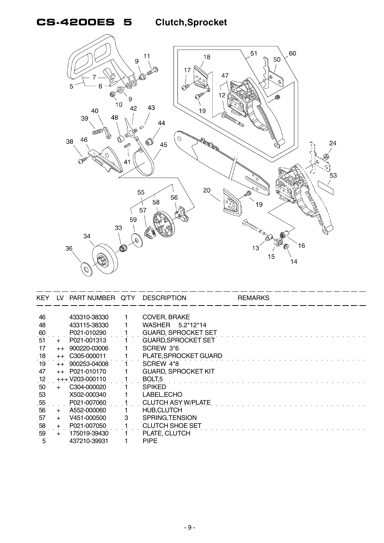## **CS-4200ES 5 Clutch,Sprocket**



| KEY. | LV.  | PART NUMBER Q'TY |   | <b>DESCRIPTION</b>         | <b>REMARKS</b> |
|------|------|------------------|---|----------------------------|----------------|
|      |      |                  |   |                            |                |
| 46   |      | 433310-38330     |   | <b>COVER, BRAKE</b>        |                |
| 48   |      | 433115-38330     |   | WASHER 5.2*12*14           |                |
| .60  |      | P021-010290      |   | <b>GUARD, SPROCKET SET</b> |                |
| 51   |      | P021-001313      |   | <b>GUARD, SPROCKET SET</b> |                |
| 17   | $++$ | 900220-03006     |   | SCREW 3*6                  |                |
| 18   |      | $++$ C305-000011 |   | PLATE, SPROCKET GUARD      |                |
| 19   | $++$ | 900253-04008     |   | SCREW 4*8                  |                |
| 47   | $++$ | P021-010170      |   | <b>GUARD, SPROCKET KIT</b> |                |
| 12   |      | $+++V203-000110$ |   | BOLT <sub>5</sub>          |                |
| 50   | $+$  | C304-000020      |   | <b>SPIKED</b>              |                |
| 53   |      | X502-000340      |   | LABEL, ECHO                |                |
| .55  |      | P021-007060      |   | <b>CLUTCH ASY W/PLATE</b>  |                |
| 56   | $+$  | A552-000060      |   | <b>HUB, CLUTCH</b>         |                |
| 57   | $+$  | V451-000500      | 3 | SPRING, TENSION            |                |
| 58   | $+$  | P021-007050      |   | <b>CLUTCH SHOE SET</b>     |                |
| 59   | $+$  | 175019-39430     |   | PLATE, CLUTCH              |                |
| 5    |      | 437210-39931     |   | <b>PIPE</b>                |                |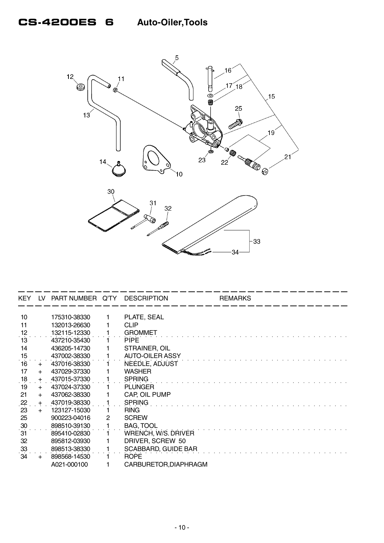

| KEY.            | 1V  | PART NUMBER Q'TY |   | <b>DESCRIPTION</b>     | <b>REMARKS</b> |
|-----------------|-----|------------------|---|------------------------|----------------|
|                 |     |                  |   |                        |                |
| 10              |     | 175310-38330     |   | PLATE, SEAL            |                |
| 11              |     | 132013-26630     |   | <b>CLIP</b>            |                |
| $\frac{12}{13}$ |     | 132115-12330     |   | <b>GROMMET</b>         |                |
|                 |     | 437210-35430     |   | <b>PIPE</b>            |                |
| 14              |     | 436205-14730     |   | STRAINER, OIL          |                |
| 15              |     | 437002-38330     |   | <b>AUTO-OILER ASSY</b> |                |
| 16              | $+$ | 437016-38330     |   | NEEDLE, ADJUST         |                |
| 17              | $+$ | 437029-37330     |   | <b>WASHER</b>          |                |
| 18              | $+$ | 437015-37330     |   | <b>SPRING</b>          |                |
| 19              | $+$ | 437024-37330     |   | <b>PLUNGER</b>         |                |
| 21              | $+$ | 437062-38330     |   | CAP, OIL PUMP          |                |
| 22              | $+$ | 437019-38330     |   | <b>SPRING</b>          |                |
| 23              | $+$ | 123127-15030     |   | <b>RING</b>            |                |
| 25              |     | 900223-04016     | 2 | <b>SCREW</b>           |                |
| 30              |     | 898510-39130     |   | <b>BAG, TOOL</b>       |                |
| 31              |     | 895410-02830     |   | WRENCH, W/S. DRIVER    |                |
| 32              |     | 895812-03930     |   | DRIVER, SCREW 50       |                |
| 33              |     | 898513-38330     |   | SCABBARD, GUIDE BAR    |                |
| 34              |     | 898568-14530     |   | <b>ROPE</b>            |                |
|                 |     | A021-000100      |   | CARBURETOR, DIAPHRAGM  |                |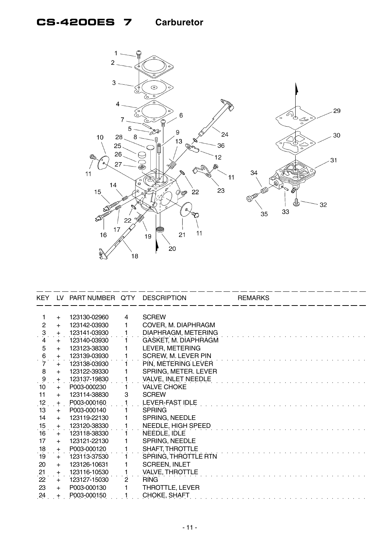#### **CS-4200ES 7 Carburetor**



|                 |     | KEY LV PART NUMBER Q'TY |                       | <b>DESCRIPTION</b>         | <b>REMARKS</b> |
|-----------------|-----|-------------------------|-----------------------|----------------------------|----------------|
|                 |     |                         |                       |                            |                |
| $\mathbf{1}$    | $+$ | 123130-02960            | 4                     | <b>SCREW</b>               |                |
| $\overline{2}$  | $+$ | 123142-03930            | 1                     | COVER, M. DIAPHRAGM        |                |
| $\mathfrak{B}$  | $+$ | 123141-03930            |                       | DIAPHRAGM, METERING        |                |
| 4               | $+$ | 123140-03930            |                       | GASKET, M. DIAPHRAGM       |                |
| 5               | $+$ | 123123-38330            |                       | LEVER, METERING            |                |
| $\frac{6}{7}$   | $+$ | 123139-03930            |                       | <b>SCREW, M. LEVER PIN</b> |                |
|                 | $+$ | 123138-03930            |                       | PIN, METERING LEVER        |                |
| 8               | $+$ | 123122-39330            |                       | SPRING, METER. LEVER       |                |
| $\ddot{\theta}$ | $+$ | 123137-19830            |                       | <b>VALVE, INLET NEEDLE</b> |                |
| 10              | $+$ | P003-000230             |                       | <b>VALVE CHOKE</b>         |                |
| 11              | $+$ | 123114-38830            | 3                     | <b>SCREW</b>               |                |
| 12              | $+$ | P003-000160             |                       | LEVER-FAST IDLE            |                |
| 13              | $+$ | P003-000140             |                       | <b>SPRING</b>              |                |
| 14              | $+$ | 123119-22130            |                       | SPRING, NEEDLE             |                |
| 15              | $+$ | 123120-38330            |                       | NEEDLE, HIGH SPEED         |                |
| 16              | $+$ | 123118-38330            |                       | NEEDLE, IDLE               |                |
| 17              | $+$ | 123121-22130            |                       | SPRING, NEEDLE             |                |
| 18              | $+$ | P003-000120             |                       | <b>SHAFT, THROTTLE</b>     |                |
| 19              | $+$ | 123113-37530            |                       | SPRING, THROTTLE RTN       |                |
| 20              | $+$ | 123126-10631            |                       | <b>SCREEN, INLET</b>       |                |
| 21              | $+$ | 123116-10530            |                       | <b>VALVE, THROTTLE</b>     |                |
| 22              | $+$ | 123127-15030            | $\mathbf{2}^{\prime}$ | <b>RING</b>                |                |
| 23              | $+$ | P003-000130             |                       | THROTTLE, LEVER            |                |
| 24              |     | P003-000150             |                       | CHOKE, SHAFT               |                |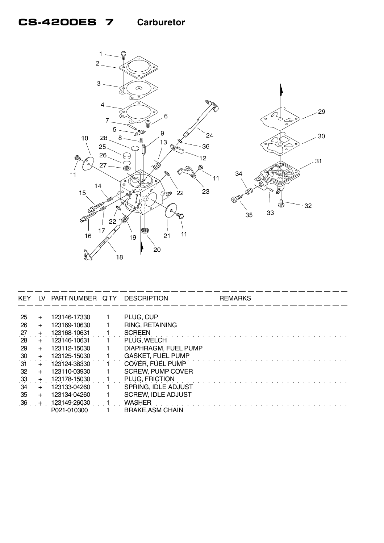#### **CS-4200ES 7 Carburetor**



| <b>KEY</b> | LV.   | PART NUMBER Q'TY | DESCRIPTION               | <b>REMARKS</b> |
|------------|-------|------------------|---------------------------|----------------|
|            |       |                  |                           |                |
| 25         | $+$   | 123146-17330     | PLUG, CUP                 |                |
| 26         | $+$   | 123169-10630     | RING, RETAINING           |                |
| 27         | $+$   | 123168-10631     | <b>SCREEN</b>             |                |
| 28         | $+$   | 123146-10631     | PLUG. WELCH               |                |
| 29         | $+$   | 123112-15030     | DIAPHRAGM, FUEL PUMP      |                |
| 30         | $+$   | 123125-15030     | <b>GASKET, FUEL PUMP</b>  |                |
| 31         | $+$   | 123124-38330     | COVER, FUEL PUMP          |                |
| 32         | $+$   | 123110-03930     | <b>SCREW, PUMP COVER</b>  |                |
| 33         | $+$   | 123178-15030     | PLUG, FRICTION            |                |
| 34         | $\pm$ | 123133-04260     | SPRING, IDLE ADJUST       |                |
| 35         | $+$   | 123134-04260     | <b>SCREW. IDLE ADJUST</b> |                |
| 36         |       | 123149-26030     | <b>WASHER</b>             |                |
|            |       | P021-010300      | <b>BRAKE, ASM CHAIN</b>   |                |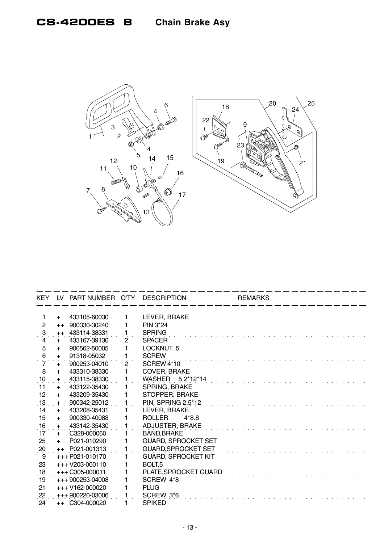## **CS-4200ES 8 Chain Brake Asy**



|                     |      | KEY LV PART NUMBER Q'TY DESCRIPTION |                |                            | <b>REMARKS</b> |
|---------------------|------|-------------------------------------|----------------|----------------------------|----------------|
|                     |      |                                     |                |                            |                |
| 1.                  | $+$  | 433105-60030                        | 1              | LEVER, BRAKE               |                |
| $\mathbf{2}$        | $++$ | 900330-30240                        | 1              | PIN 3*24                   |                |
| $\ddot{\mathbf{3}}$ | $++$ | 433114-38331                        | 1              | <b>SPRING</b>              |                |
| 4                   | $+$  | 433167-39130                        | $\mathbf{2}$   | <b>SPACER</b>              |                |
| 5                   | $+$  | 900562-50005                        | 1              | <b>LOCKNUT 5</b>           |                |
| 6                   | $+$  | 91318-05032                         | 1              | <b>SCREW</b>               |                |
| $\overline{7}$      | $+$  | 900253-04010                        | $\overline{2}$ | SCREW 4*10                 |                |
| 8                   | $+$  | 433310-38330                        | 1              | COVER, BRAKE               |                |
| $\frac{10}{1}$      | $+$  | 433115-38330                        | 1              | WASHER 5.2*12*14           |                |
| 11                  | $+$  | 433122-35430                        |                | <b>SPRING, BRAKE</b>       |                |
| 12 <sub>2</sub>     | $+$  | 433209-35430                        |                | STOPPER, BRAKE             |                |
| $\frac{13}{1}$      | $+$  | 900342-25012                        |                | PIN, SPRING 2.5*12         |                |
| 14                  | $+$  | 433208-35431                        |                | LEVER, BRAKE               |                |
| 15                  | $+$  | 900330-40088                        |                | ROLLER<br>$4*8.8$          |                |
| 16                  | $+$  | 433142-35430                        |                | ADJUSTER, BRAKE            |                |
| 17                  | $+$  | C328-000060                         |                | <b>BAND, BRAKE</b>         |                |
| 25                  | $+$  | P021-010290                         |                | <b>GUARD, SPROCKET SET</b> |                |
| 20                  |      | $++$ P021-001313                    |                | <b>GUARD, SPROCKET SET</b> |                |
| 9                   |      | +++ P021-010170                     |                | <b>GUARD, SPROCKET KIT</b> |                |
| 23                  |      | $+++V203-000110$                    |                | BOLT <sub>.5</sub>         |                |
| 18                  |      | $+++ C305-000011$                   |                | PLATE, SPROCKET GUARD      |                |
| 19                  |      | $+++900253-04008$                   |                | SCREW 4*8                  |                |
| 21                  |      | $+++V162-000020$                    |                | <b>PLUG</b>                |                |
| $22 \overline{ }$   |      | +++ 900220-03006                    |                | SCREW 3*6                  |                |
| 24                  |      | ++ C304-000020                      |                | <b>SPIKED</b>              |                |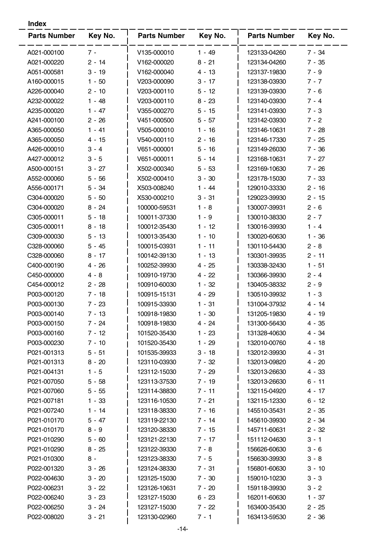| <b>Parts Number</b> | Key No.  | <b>Parts Number</b> | Key No.  | <b>Parts Number</b> | Key No.  |
|---------------------|----------|---------------------|----------|---------------------|----------|
| A021-000100         | $7 -$    | V135-000010         | $1 - 49$ | 123133-04260        | $7 - 34$ |
| A021-000220         | $2 - 14$ | V162-000020         | $8 - 21$ | 123134-04260        | $7 - 35$ |
| A051-000581         | $3 - 19$ | V162-000040         | 4 - 13   | 123137-19830        | $7 - 9$  |
| A160-000015         | $1 - 50$ | V203-000090         | $3 - 17$ | 123138-03930        | $7 - 7$  |
| A226-000040         | $2 - 10$ | V203-000110         | $5 - 12$ | 123139-03930        | $7 - 6$  |
| A232-000022         | $1 - 48$ | V203-000110         | $8 - 23$ | 123140-03930        | $7 - 4$  |
| A235-000020         | $1 - 47$ | V355-000270         | $5 - 15$ | 123141-03930        | $7 - 3$  |
| A241-000100         | $2 - 26$ | V451-000500         | $5 - 57$ | 123142-03930        | $7 - 2$  |
| A365-000050         | $1 - 41$ | V505-000010         | $1 - 16$ | 123146-10631        | $7 - 28$ |
| A365-000050         | $4 - 15$ | V540-000110         | $2 - 16$ | 123146-17330        | $7 - 25$ |
| A426-000010         | $3 - 4$  | V651-000001         | $5 - 16$ | 123149-26030        | $7 - 36$ |
| A427-000012         | $3 - 5$  | V651-000011         | $5 - 14$ | 123168-10631        | $7 - 27$ |
| A500-000151         | $3 - 27$ | X502-000340         | $5 - 53$ | 123169-10630        | $7 - 26$ |
| A552-000060         | $5 - 56$ | X502-000410         | $3 - 30$ | 123178-15030        | $7 - 33$ |
| A556-000171         | $5 - 34$ | X503-008240         | $1 - 44$ | 129010-33330        | $2 - 16$ |
| C304-000020         | $5 - 50$ | X530-000210         | $3 - 31$ | 129023-39930        | $2 - 15$ |
| C304-000020         | $8 - 24$ | 100000-59531        | $1 - 8$  | 130007-39931        | $2 - 6$  |
| C305-000011         | $5 - 18$ | 100011-37330        | $1 - 9$  | 130010-38330        | $2 - 7$  |
| C305-000011         | $8 - 18$ | 100012-35430        | $1 - 12$ | 130016-39930        | $1 - 4$  |
| C309-000030         | $5 - 13$ | 100013-35430        | $1 - 10$ | 130020-60630        | $1 - 36$ |
| C328-000060         | $5 - 45$ | 100015-03931        | $1 - 11$ | 130110-54430        | $2 - 8$  |
| C328-000060         | $8 - 17$ | 100142-39130        | $1 - 13$ | 130301-39935        | $2 - 11$ |
| C400-000190         | $4 - 26$ | 100252-39930        | $4 - 25$ | 130338-32430        | $1 - 51$ |
| C450-000000         | $4 - 8$  | 100910-19730        | $4 - 22$ | 130366-39930        | $2 - 4$  |
| C454-000012         | $2 - 28$ | 100910-60030        | $1 - 32$ | 130405-38332        | $2 - 9$  |
| P003-000120         | 7 - 18   | 100915-15131        | $4 - 29$ | 130510-39932        | $1 - 3$  |
| P003-000130         | 7 - 23   | 100915-33930        | $1 - 31$ | 131004-37932        | $4 - 14$ |
| P003-000140         | 7 - 13   | 100918-19830        | 1 - 30   | 131205-19830        | 4 - 19   |
| P003-000150         | 7 - 24   | 100918-19830        | 4 - 24   | 131300-56430        | 4 - 35   |
| P003-000160         | $7 - 12$ | 101520-35430        | $1 - 23$ | 131328-40630        | 4 - 34   |
| P003-000230         | $7 - 10$ | 101520-35430        | $1 - 29$ | 132010-00760        | $4 - 18$ |
| P021-001313         | $5 - 51$ | 101535-39933        | $3 - 18$ | 132012-39930        | $4 - 31$ |
| P021-001313         | $8 - 20$ | 123110-03930        | 7 - 32   | 132013-09820        | $4 - 20$ |
| P021-004131         | $1 - 5$  | 123112-15030        | $7 - 29$ | 132013-26630        | 4 - 33   |
| P021-007050         | $5 - 58$ | 123113-37530        | 7 - 19   | 132013-26630        | $6 - 11$ |
| P021-007060         | $5 - 55$ | 123114-38830        | $7 - 11$ | 132115-04920        | $4 - 17$ |
| P021-007181         | $1 - 33$ | 123116-10530        | 7 - 21   | 132115-12330        | $6 - 12$ |
| P021-007240         | $1 - 14$ | 123118-38330        | $7 - 16$ | 145510-35431        | $2 - 35$ |
| P021-010170         | $5 - 47$ | 123119-22130        | 7 - 14   | 145610-39930        | $2 - 34$ |
| P021-010170         | $8 - 9$  | 123120-38330        | $7 - 15$ | 145711-60631        | $2 - 32$ |
| P021-010290         | $5 - 60$ | 123121-22130        | $7 - 17$ | 151112-04630        | $3 - 1$  |
| P021-010290         | $8 - 25$ | 123122-39330        | $7 - 8$  | 156626-60630        | $3 - 6$  |
| P021-010300         | $8 -$    | 123123-38330        | 7 - 5    | 156630-39930        | $3 - 8$  |
| P022-001320         | $3 - 26$ | 123124-38330        | 7 - 31   | 156801-60630        | $3 - 10$ |
| P022-004630         | $3 - 20$ | 123125-15030        | 7 - 30   | 159010-10230        | $3 - 3$  |
| P022-006231         | $3 - 22$ | 123126-10631        | $7 - 20$ | 159118-39930        | $3 - 2$  |
| P022-006240         | $3 - 23$ | 123127-15030        | $6 - 23$ | 162011-60630        | $1 - 37$ |
| P022-006250         | $3 - 24$ | 123127-15030        | $7 - 22$ | 163400-35430        | $2 - 25$ |
| P022-008020         | $3 - 21$ | 123130-02960        | $7 - 1$  | 163413-59530        | $2 - 36$ |
|                     |          |                     |          |                     |          |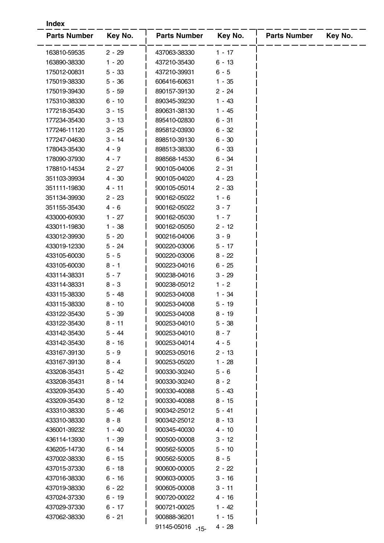| <b>Index</b>                 |                    |                              |                      |                     |         |  |  |  |
|------------------------------|--------------------|------------------------------|----------------------|---------------------|---------|--|--|--|
| <b>Parts Number</b>          | Key No.            | <b>Parts Number</b>          | Key No.              | <b>Parts Number</b> | Key No. |  |  |  |
| 163810-59535                 | $2 - 29$           | 437063-38330                 | $1 - 17$             |                     |         |  |  |  |
| 163890-38330                 | $1 - 20$           | 437210-35430                 | $6 - 13$             |                     |         |  |  |  |
| 175012-00831                 | $5 - 33$           | 437210-39931                 | $6 - 5$              |                     |         |  |  |  |
| 175019-38330                 | $5 - 36$           | 606416-60631                 | $1 - 35$             |                     |         |  |  |  |
| 175019-39430                 | $5 - 59$           | 890157-39130                 | $2 - 24$             |                     |         |  |  |  |
| 175310-38330                 | $6 - 10$           | 890345-39230                 | $1 - 43$             |                     |         |  |  |  |
| 177218-35430                 | $3 - 15$           | 890631-38130                 | $1 - 45$             |                     |         |  |  |  |
| 177234-35430                 | $3 - 13$           | 895410-02830                 | $6 - 31$             |                     |         |  |  |  |
| 177246-11120                 | $3 - 25$           | 895812-03930                 | $6 - 32$             |                     |         |  |  |  |
| 177247-04630                 | $3 - 14$           | 898510-39130                 | $6 - 30$             |                     |         |  |  |  |
| 178043-35430                 | $4 - 9$            | 898513-38330                 | $6 - 33$             |                     |         |  |  |  |
| 178090-37930                 | $4 - 7$            | 898568-14530                 | $6 - 34$             |                     |         |  |  |  |
| 178810-14534                 | $2 - 27$           | 900105-04006                 | $2 - 31$             |                     |         |  |  |  |
| 351103-39934                 | $4 - 30$           | 900105-04020                 | $4 - 23$             |                     |         |  |  |  |
| 351111-19830                 | 4 - 11             | 900105-05014                 | $2 - 33$             |                     |         |  |  |  |
| 351134-39930                 | $2 - 23$           | 900162-05022                 | $1 - 6$              |                     |         |  |  |  |
| 351155-35430                 | $4 - 6$            | 900162-05022                 | $3 - 7$              |                     |         |  |  |  |
| 433000-60930                 | $1 - 27$           | 900162-05030                 | $1 - 7$              |                     |         |  |  |  |
| 433011-19830                 | $1 - 38$           | 900162-05050                 | $2 - 12$             |                     |         |  |  |  |
| 433012-39930                 | $5 - 20$           | 900216-04006                 | $3 - 9$              |                     |         |  |  |  |
| 433019-12330                 | $5 - 24$           | 900220-03006                 | 5 - 17               |                     |         |  |  |  |
| 433105-60030                 | $5 - 5$            | 900220-03006                 | $8 - 22$             |                     |         |  |  |  |
| 433105-60030                 | $8 - 1$            | 900223-04016                 | $6 - 25$             |                     |         |  |  |  |
| 433114-38331                 | $5 - 7$            | 900238-04016                 | $3 - 29$             |                     |         |  |  |  |
| 433114-38331                 | $8 - 3$            | 900238-05012                 | $1 - 2$              |                     |         |  |  |  |
| 433115-38330                 | 5 - 48             | 900253-04008                 | $1 - 34$             |                     |         |  |  |  |
| 433115-38330                 | $8 - 10$           | 900253-04008                 | $5 - 19$             |                     |         |  |  |  |
| 433122-35430                 | 5 - 39             | 900253-04008                 | $8 - 19$             |                     |         |  |  |  |
| 433122-35430                 | $8 - 11$           | 900253-04010                 | $5 - 38$             |                     |         |  |  |  |
| 433142-35430                 | $5 - 44$           | 900253-04010                 | $8 - 7$              |                     |         |  |  |  |
| 433142-35430                 | $8 - 16$           | 900253-04014                 | $4 - 5$              |                     |         |  |  |  |
| 433167-39130                 | $5 - 9$            | 900253-05016                 | $2 - 13$             |                     |         |  |  |  |
| 433167-39130                 | $8 - 4$            | 900253-05020                 | 1 - 28               |                     |         |  |  |  |
| 433208-35431                 | $5 - 42$           | 900330-30240                 | $5 - 6$              |                     |         |  |  |  |
| 433208-35431                 | $8 - 14$           | 900330-30240                 | $8 - 2$              |                     |         |  |  |  |
| 433209-35430                 | $5 - 40$           | 900330-40088                 | $5 - 43$             |                     |         |  |  |  |
| 433209-35430                 | 8 - 12             | 900330-40088                 | $8 - 15$             |                     |         |  |  |  |
| 433310-38330                 | $5 - 46$           | 900342-25012                 | $5 - 41$             |                     |         |  |  |  |
| 433310-38330                 | $8 - 8$            | 900342-25012                 | $8 - 13$             |                     |         |  |  |  |
| 436001-39232                 | $1 - 40$           | 900345-40030                 | 4 - 10               |                     |         |  |  |  |
| 436114-13930                 | $1 - 39$           | 900500-00008                 | $3 - 12$             |                     |         |  |  |  |
| 436205-14730                 | 6 - 14             | 900562-50005                 | $5 - 10$             |                     |         |  |  |  |
| 437002-38330                 | $6 - 15$           | 900562-50005                 | $8 - 5$              |                     |         |  |  |  |
| 437015-37330                 | $6 - 18$           | 900600-00005                 | $2 - 22$             |                     |         |  |  |  |
| 437016-38330                 | $6 - 16$           | 900603-00005                 | $3 - 16$             |                     |         |  |  |  |
| 437019-38330                 | $6 - 22$           | 900605-00008                 | $3 - 11$             |                     |         |  |  |  |
|                              |                    |                              | 4 - 16               |                     |         |  |  |  |
|                              |                    |                              |                      |                     |         |  |  |  |
| 437024-37330                 | 6 - 19             | 900720-00022                 |                      |                     |         |  |  |  |
| 437029-37330<br>437062-38330 | 6 - 17<br>$6 - 21$ | 900721-00025<br>900888-36201 | $1 - 42$<br>$1 - 15$ |                     |         |  |  |  |